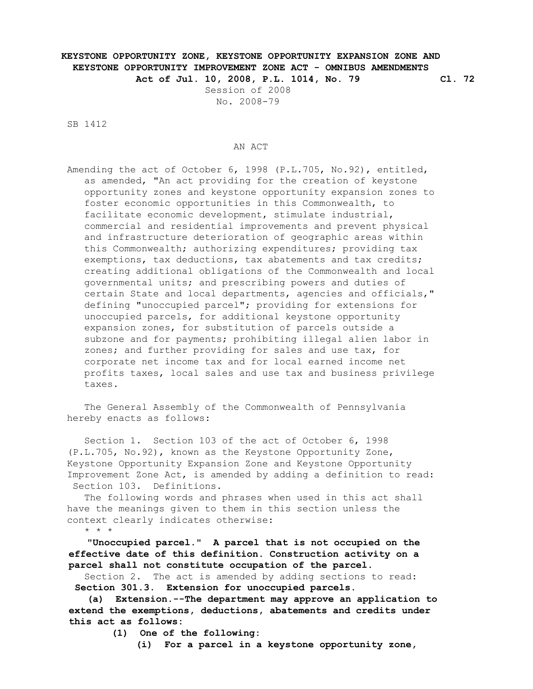## **KEYSTONE OPPORTUNITY ZONE, KEYSTONE OPPORTUNITY EXPANSION ZONE AND KEYSTONE OPPORTUNITY IMPROVEMENT ZONE ACT - OMNIBUS AMENDMENTS Act of Jul. 10, 2008, P.L. 1014, No. 79 Cl. 72**

 Session of 2008 No. 2008-79

SB 1412

## AN ACT

 Amending the act of October 6, 1998 (P.L.705, No.92), entitled, as amended, "An act providing for the creation of keystone opportunity zones and keystone opportunity expansion zones to foster economic opportunities in this Commonwealth, to facilitate economic development, stimulate industrial, commercial and residential improvements and prevent physical and infrastructure deterioration of geographic areas within this Commonwealth; authorizing expenditures; providing tax exemptions, tax deductions, tax abatements and tax credits; creating additional obligations of the Commonwealth and local governmental units; and prescribing powers and duties of certain State and local departments, agencies and officials," defining "unoccupied parcel"; providing for extensions for unoccupied parcels, for additional keystone opportunity expansion zones, for substitution of parcels outside a subzone and for payments; prohibiting illegal alien labor in zones; and further providing for sales and use tax, for corporate net income tax and for local earned income net profits taxes, local sales and use tax and business privilege taxes.

 The General Assembly of the Commonwealth of Pennsylvania hereby enacts as follows:

 Section 1. Section 103 of the act of October 6, 1998 (P.L.705, No.92), known as the Keystone Opportunity Zone, Keystone Opportunity Expansion Zone and Keystone Opportunity Improvement Zone Act, is amended by adding a definition to read: Section 103. Definitions.

 The following words and phrases when used in this act shall have the meanings given to them in this section unless the context clearly indicates otherwise:

\* \* \*

 **"Unoccupied parcel." A parcel that is not occupied on the effective date of this definition. Construction activity on a parcel shall not constitute occupation of the parcel.**

 Section 2. The act is amended by adding sections to read: **Section 301.3. Extension for unoccupied parcels.**

 **(a) Extension.--The department may approve an application to extend the exemptions, deductions, abatements and credits under this act as follows:**

**(1) One of the following:**

**(i) For a parcel in a keystone opportunity zone,**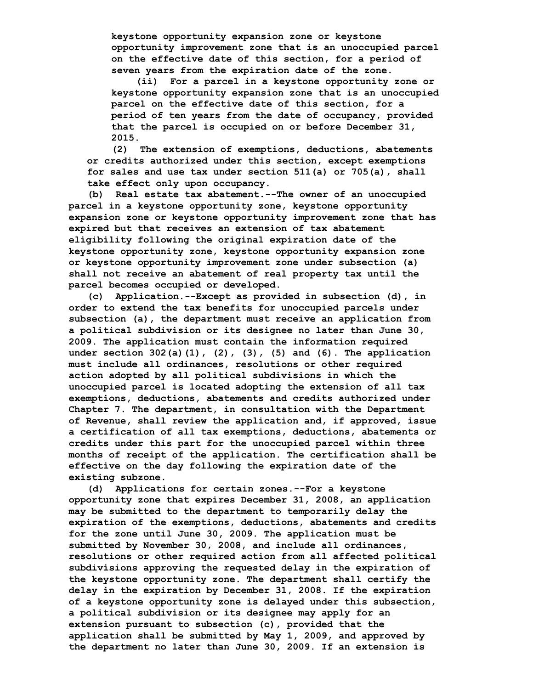**keystone opportunity expansion zone or keystone opportunity improvement zone that is an unoccupied parcel on the effective date of this section, for a period of seven years from the expiration date of the zone.**

 **(ii) For a parcel in a keystone opportunity zone or keystone opportunity expansion zone that is an unoccupied parcel on the effective date of this section, for a period of ten years from the date of occupancy, provided that the parcel is occupied on or before December 31, 2015.**

 **(2) The extension of exemptions, deductions, abatements or credits authorized under this section, except exemptions for sales and use tax under section 511(a) or 705(a), shall take effect only upon occupancy.**

 **(b) Real estate tax abatement.--The owner of an unoccupied parcel in a keystone opportunity zone, keystone opportunity expansion zone or keystone opportunity improvement zone that has expired but that receives an extension of tax abatement eligibility following the original expiration date of the keystone opportunity zone, keystone opportunity expansion zone or keystone opportunity improvement zone under subsection (a) shall not receive an abatement of real property tax until the parcel becomes occupied or developed.**

 **(c) Application.--Except as provided in subsection (d), in order to extend the tax benefits for unoccupied parcels under subsection (a), the department must receive an application from a political subdivision or its designee no later than June 30, 2009. The application must contain the information required under section 302(a)(1), (2), (3), (5) and (6). The application must include all ordinances, resolutions or other required action adopted by all political subdivisions in which the unoccupied parcel is located adopting the extension of all tax exemptions, deductions, abatements and credits authorized under Chapter 7. The department, in consultation with the Department of Revenue, shall review the application and, if approved, issue a certification of all tax exemptions, deductions, abatements or credits under this part for the unoccupied parcel within three months of receipt of the application. The certification shall be effective on the day following the expiration date of the existing subzone.**

 **(d) Applications for certain zones.--For a keystone opportunity zone that expires December 31, 2008, an application may be submitted to the department to temporarily delay the expiration of the exemptions, deductions, abatements and credits for the zone until June 30, 2009. The application must be submitted by November 30, 2008, and include all ordinances, resolutions or other required action from all affected political subdivisions approving the requested delay in the expiration of the keystone opportunity zone. The department shall certify the delay in the expiration by December 31, 2008. If the expiration of a keystone opportunity zone is delayed under this subsection, a political subdivision or its designee may apply for an extension pursuant to subsection (c), provided that the application shall be submitted by May 1, 2009, and approved by the department no later than June 30, 2009. If an extension is**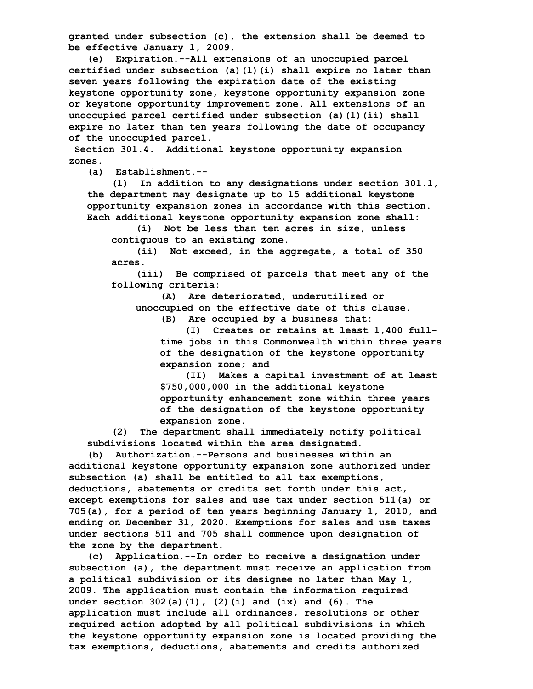**granted under subsection (c), the extension shall be deemed to be effective January 1, 2009.**

 **(e) Expiration.--All extensions of an unoccupied parcel certified under subsection (a)(1)(i) shall expire no later than seven years following the expiration date of the existing keystone opportunity zone, keystone opportunity expansion zone or keystone opportunity improvement zone. All extensions of an unoccupied parcel certified under subsection (a)(1)(ii) shall expire no later than ten years following the date of occupancy of the unoccupied parcel.**

 **Section 301.4. Additional keystone opportunity expansion zones.**

**(a) Establishment.--**

 **(1) In addition to any designations under section 301.1, the department may designate up to 15 additional keystone opportunity expansion zones in accordance with this section. Each additional keystone opportunity expansion zone shall:**

 **(i) Not be less than ten acres in size, unless contiguous to an existing zone.**

 **(ii) Not exceed, in the aggregate, a total of 350 acres.**

 **(iii) Be comprised of parcels that meet any of the following criteria:**

 **(A) Are deteriorated, underutilized or unoccupied on the effective date of this clause.**

**(B) Are occupied by a business that:**

 **(I) Creates or retains at least 1,400 full time jobs in this Commonwealth within three years of the designation of the keystone opportunity expansion zone; and**

 **(II) Makes a capital investment of at least \$750,000,000 in the additional keystone opportunity enhancement zone within three years of the designation of the keystone opportunity expansion zone.**

 **(2) The department shall immediately notify political subdivisions located within the area designated.**

 **(b) Authorization.--Persons and businesses within an additional keystone opportunity expansion zone authorized under subsection (a) shall be entitled to all tax exemptions, deductions, abatements or credits set forth under this act, except exemptions for sales and use tax under section 511(a) or 705(a), for a period of ten years beginning January 1, 2010, and ending on December 31, 2020. Exemptions for sales and use taxes under sections 511 and 705 shall commence upon designation of the zone by the department.**

 **(c) Application.--In order to receive a designation under subsection (a), the department must receive an application from a political subdivision or its designee no later than May 1, 2009. The application must contain the information required under section 302(a)(1), (2)(i) and (ix) and (6). The application must include all ordinances, resolutions or other required action adopted by all political subdivisions in which the keystone opportunity expansion zone is located providing the tax exemptions, deductions, abatements and credits authorized**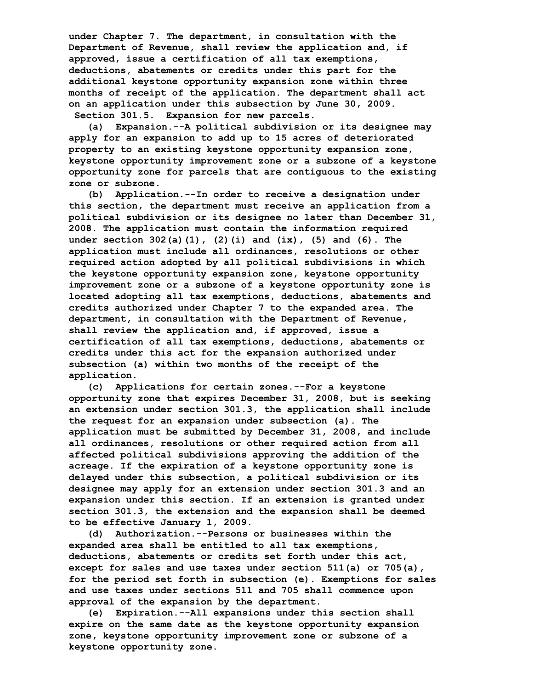**under Chapter 7. The department, in consultation with the Department of Revenue, shall review the application and, if approved, issue a certification of all tax exemptions, deductions, abatements or credits under this part for the additional keystone opportunity expansion zone within three months of receipt of the application. The department shall act on an application under this subsection by June 30, 2009. Section 301.5. Expansion for new parcels.**

 **(a) Expansion.--A political subdivision or its designee may apply for an expansion to add up to 15 acres of deteriorated property to an existing keystone opportunity expansion zone, keystone opportunity improvement zone or a subzone of a keystone opportunity zone for parcels that are contiguous to the existing zone or subzone.**

 **(b) Application.--In order to receive a designation under this section, the department must receive an application from a political subdivision or its designee no later than December 31, 2008. The application must contain the information required under section 302(a)(1), (2)(i) and (ix), (5) and (6). The application must include all ordinances, resolutions or other required action adopted by all political subdivisions in which the keystone opportunity expansion zone, keystone opportunity improvement zone or a subzone of a keystone opportunity zone is located adopting all tax exemptions, deductions, abatements and credits authorized under Chapter 7 to the expanded area. The department, in consultation with the Department of Revenue, shall review the application and, if approved, issue a certification of all tax exemptions, deductions, abatements or credits under this act for the expansion authorized under subsection (a) within two months of the receipt of the application.**

 **(c) Applications for certain zones.--For a keystone opportunity zone that expires December 31, 2008, but is seeking an extension under section 301.3, the application shall include the request for an expansion under subsection (a). The application must be submitted by December 31, 2008, and include all ordinances, resolutions or other required action from all affected political subdivisions approving the addition of the acreage. If the expiration of a keystone opportunity zone is delayed under this subsection, a political subdivision or its designee may apply for an extension under section 301.3 and an expansion under this section. If an extension is granted under section 301.3, the extension and the expansion shall be deemed to be effective January 1, 2009.**

 **(d) Authorization.--Persons or businesses within the expanded area shall be entitled to all tax exemptions, deductions, abatements or credits set forth under this act, except for sales and use taxes under section 511(a) or 705(a), for the period set forth in subsection (e). Exemptions for sales and use taxes under sections 511 and 705 shall commence upon approval of the expansion by the department.**

 **(e) Expiration.--All expansions under this section shall expire on the same date as the keystone opportunity expansion zone, keystone opportunity improvement zone or subzone of a keystone opportunity zone.**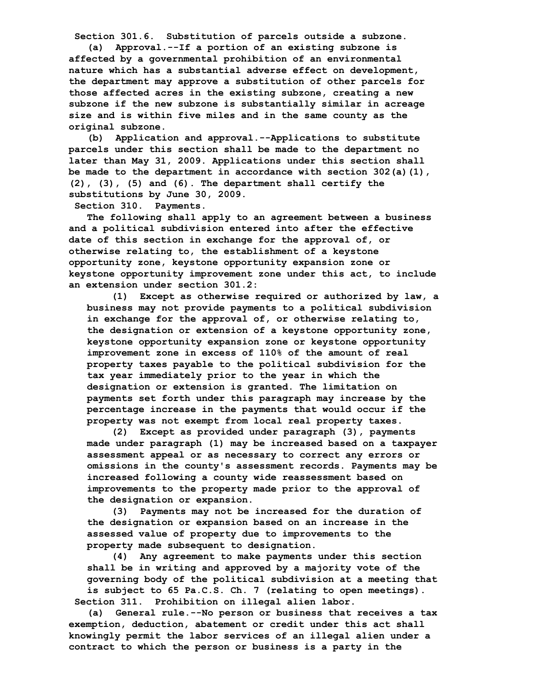**Section 301.6. Substitution of parcels outside a subzone.**

 **(a) Approval.--If a portion of an existing subzone is affected by a governmental prohibition of an environmental nature which has a substantial adverse effect on development, the department may approve a substitution of other parcels for those affected acres in the existing subzone, creating a new subzone if the new subzone is substantially similar in acreage size and is within five miles and in the same county as the original subzone.**

 **(b) Application and approval.--Applications to substitute parcels under this section shall be made to the department no later than May 31, 2009. Applications under this section shall be made to the department in accordance with section 302(a)(1), (2), (3), (5) and (6). The department shall certify the substitutions by June 30, 2009.**

**Section 310. Payments.**

 **The following shall apply to an agreement between a business and a political subdivision entered into after the effective date of this section in exchange for the approval of, or otherwise relating to, the establishment of a keystone opportunity zone, keystone opportunity expansion zone or keystone opportunity improvement zone under this act, to include an extension under section 301.2:**

 **(1) Except as otherwise required or authorized by law, a business may not provide payments to a political subdivision in exchange for the approval of, or otherwise relating to, the designation or extension of a keystone opportunity zone, keystone opportunity expansion zone or keystone opportunity improvement zone in excess of 110% of the amount of real property taxes payable to the political subdivision for the tax year immediately prior to the year in which the designation or extension is granted. The limitation on payments set forth under this paragraph may increase by the percentage increase in the payments that would occur if the property was not exempt from local real property taxes.**

 **(2) Except as provided under paragraph (3), payments made under paragraph (1) may be increased based on a taxpayer assessment appeal or as necessary to correct any errors or omissions in the county's assessment records. Payments may be increased following a county wide reassessment based on improvements to the property made prior to the approval of the designation or expansion.**

 **(3) Payments may not be increased for the duration of the designation or expansion based on an increase in the assessed value of property due to improvements to the property made subsequent to designation.**

 **(4) Any agreement to make payments under this section shall be in writing and approved by a majority vote of the governing body of the political subdivision at a meeting that is subject to 65 Pa.C.S. Ch. 7 (relating to open meetings). Section 311. Prohibition on illegal alien labor.**

 **(a) General rule.--No person or business that receives a tax exemption, deduction, abatement or credit under this act shall knowingly permit the labor services of an illegal alien under a contract to which the person or business is a party in the**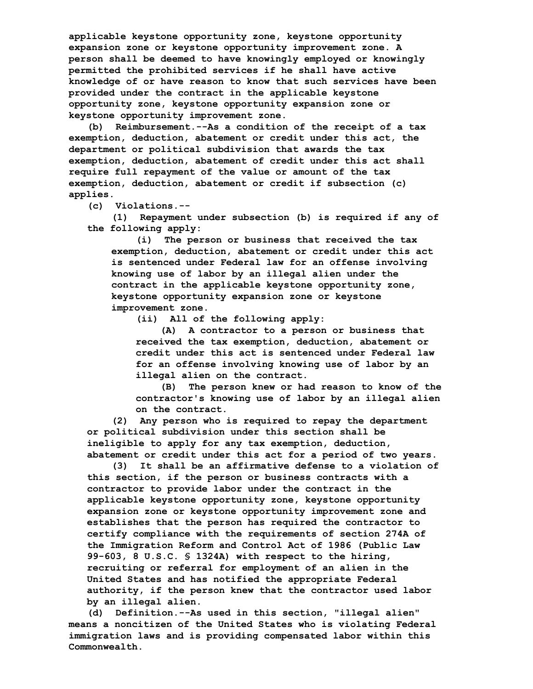**applicable keystone opportunity zone, keystone opportunity expansion zone or keystone opportunity improvement zone. A person shall be deemed to have knowingly employed or knowingly permitted the prohibited services if he shall have active knowledge of or have reason to know that such services have been provided under the contract in the applicable keystone opportunity zone, keystone opportunity expansion zone or keystone opportunity improvement zone.**

 **(b) Reimbursement.--As a condition of the receipt of a tax exemption, deduction, abatement or credit under this act, the department or political subdivision that awards the tax exemption, deduction, abatement of credit under this act shall require full repayment of the value or amount of the tax exemption, deduction, abatement or credit if subsection (c) applies.**

**(c) Violations.--**

 **(1) Repayment under subsection (b) is required if any of the following apply:**

 **(i) The person or business that received the tax exemption, deduction, abatement or credit under this act is sentenced under Federal law for an offense involving knowing use of labor by an illegal alien under the contract in the applicable keystone opportunity zone, keystone opportunity expansion zone or keystone improvement zone.**

**(ii) All of the following apply:**

 **(A) A contractor to a person or business that received the tax exemption, deduction, abatement or credit under this act is sentenced under Federal law for an offense involving knowing use of labor by an illegal alien on the contract.**

 **(B) The person knew or had reason to know of the contractor's knowing use of labor by an illegal alien on the contract.**

 **(2) Any person who is required to repay the department or political subdivision under this section shall be ineligible to apply for any tax exemption, deduction, abatement or credit under this act for a period of two years.**

 **(3) It shall be an affirmative defense to a violation of this section, if the person or business contracts with a contractor to provide labor under the contract in the applicable keystone opportunity zone, keystone opportunity expansion zone or keystone opportunity improvement zone and establishes that the person has required the contractor to certify compliance with the requirements of section 274A of the Immigration Reform and Control Act of 1986 (Public Law 99-603, 8 U.S.C. § 1324A) with respect to the hiring, recruiting or referral for employment of an alien in the United States and has notified the appropriate Federal authority, if the person knew that the contractor used labor by an illegal alien.**

 **(d) Definition.--As used in this section, "illegal alien" means a noncitizen of the United States who is violating Federal immigration laws and is providing compensated labor within this Commonwealth.**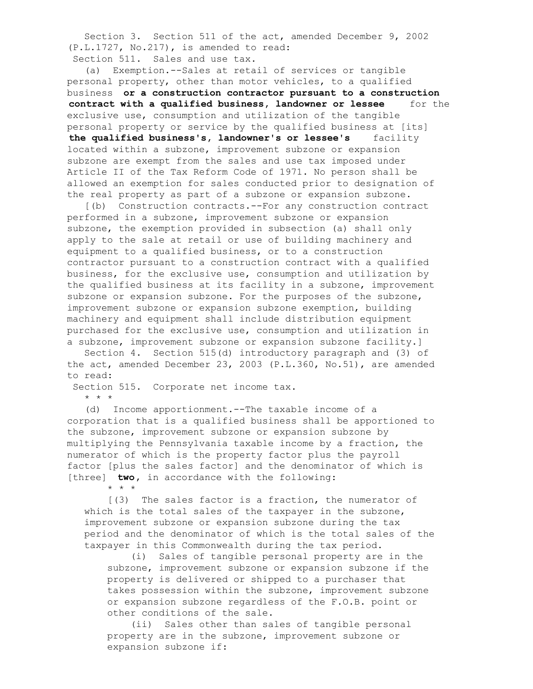Section 3. Section 511 of the act, amended December 9, 2002 (P.L.1727, No.217), is amended to read:

Section 511. Sales and use tax.

 (a) Exemption.--Sales at retail of services or tangible personal property, other than motor vehicles, to a qualified business **or a construction contractor pursuant to a construction contract with a qualified business, landowner or lessee** for the exclusive use, consumption and utilization of the tangible personal property or service by the qualified business at [its] **the qualified business's, landowner's or lessee's** facility located within a subzone, improvement subzone or expansion subzone are exempt from the sales and use tax imposed under Article II of the Tax Reform Code of 1971. No person shall be allowed an exemption for sales conducted prior to designation of the real property as part of a subzone or expansion subzone.

 [(b) Construction contracts.--For any construction contract performed in a subzone, improvement subzone or expansion subzone, the exemption provided in subsection (a) shall only apply to the sale at retail or use of building machinery and equipment to a qualified business, or to a construction contractor pursuant to a construction contract with a qualified business, for the exclusive use, consumption and utilization by the qualified business at its facility in a subzone, improvement subzone or expansion subzone. For the purposes of the subzone, improvement subzone or expansion subzone exemption, building machinery and equipment shall include distribution equipment purchased for the exclusive use, consumption and utilization in a subzone, improvement subzone or expansion subzone facility.]

 Section 4. Section 515(d) introductory paragraph and (3) of the act, amended December 23, 2003 (P.L.360, No.51), are amended to read:

Section 515. Corporate net income tax.

\* \* \*

 (d) Income apportionment.--The taxable income of a corporation that is a qualified business shall be apportioned to the subzone, improvement subzone or expansion subzone by multiplying the Pennsylvania taxable income by a fraction, the numerator of which is the property factor plus the payroll factor [plus the sales factor] and the denominator of which is [three] **two**, in accordance with the following:

\* \* \*

 [(3) The sales factor is a fraction, the numerator of which is the total sales of the taxpayer in the subzone, improvement subzone or expansion subzone during the tax period and the denominator of which is the total sales of the taxpayer in this Commonwealth during the tax period.

 (i) Sales of tangible personal property are in the subzone, improvement subzone or expansion subzone if the property is delivered or shipped to a purchaser that takes possession within the subzone, improvement subzone or expansion subzone regardless of the F.O.B. point or other conditions of the sale.

 (ii) Sales other than sales of tangible personal property are in the subzone, improvement subzone or expansion subzone if: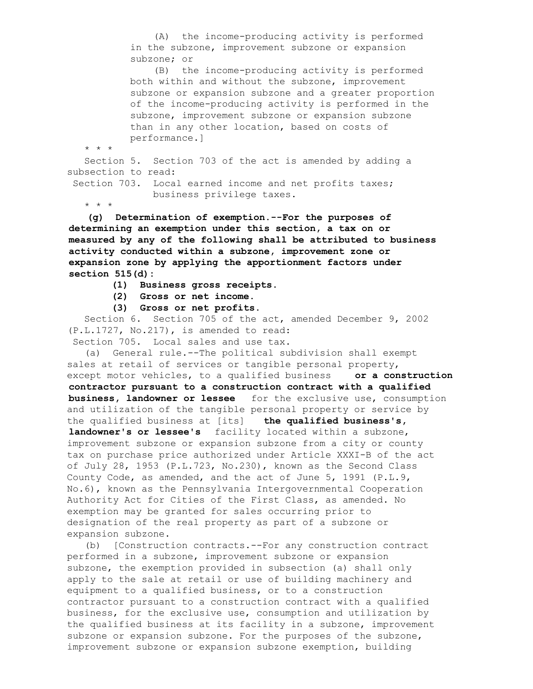(A) the income-producing activity is performed in the subzone, improvement subzone or expansion subzone; or

 (B) the income-producing activity is performed both within and without the subzone, improvement subzone or expansion subzone and a greater proportion of the income-producing activity is performed in the subzone, improvement subzone or expansion subzone than in any other location, based on costs of performance.]

\* \* \*

 Section 5. Section 703 of the act is amended by adding a subsection to read:

Section 703. Local earned income and net profits taxes; business privilege taxes.

\* \* \*

 **(g) Determination of exemption.--For the purposes of determining an exemption under this section, a tax on or measured by any of the following shall be attributed to business activity conducted within a subzone, improvement zone or expansion zone by applying the apportionment factors under section 515(d):**

- **(1) Business gross receipts.**
- **(2) Gross or net income.**
- **(3) Gross or net profits.**

 Section 6. Section 705 of the act, amended December 9, 2002 (P.L.1727, No.217), is amended to read:

Section 705. Local sales and use tax.

 (a) General rule.--The political subdivision shall exempt sales at retail of services or tangible personal property, except motor vehicles, to a qualified business **or a construction contractor pursuant to a construction contract with a qualified business, landowner or lessee** for the exclusive use, consumption and utilization of the tangible personal property or service by the qualified business at [its] **the qualified business's, landowner's or lessee's** facility located within a subzone, improvement subzone or expansion subzone from a city or county tax on purchase price authorized under Article XXXI-B of the act of July 28, 1953 (P.L.723, No.230), known as the Second Class County Code, as amended, and the act of June 5, 1991 (P.L.9, No.6), known as the Pennsylvania Intergovernmental Cooperation Authority Act for Cities of the First Class, as amended. No exemption may be granted for sales occurring prior to designation of the real property as part of a subzone or expansion subzone.

 (b) [Construction contracts.--For any construction contract performed in a subzone, improvement subzone or expansion subzone, the exemption provided in subsection (a) shall only apply to the sale at retail or use of building machinery and equipment to a qualified business, or to a construction contractor pursuant to a construction contract with a qualified business, for the exclusive use, consumption and utilization by the qualified business at its facility in a subzone, improvement subzone or expansion subzone. For the purposes of the subzone, improvement subzone or expansion subzone exemption, building